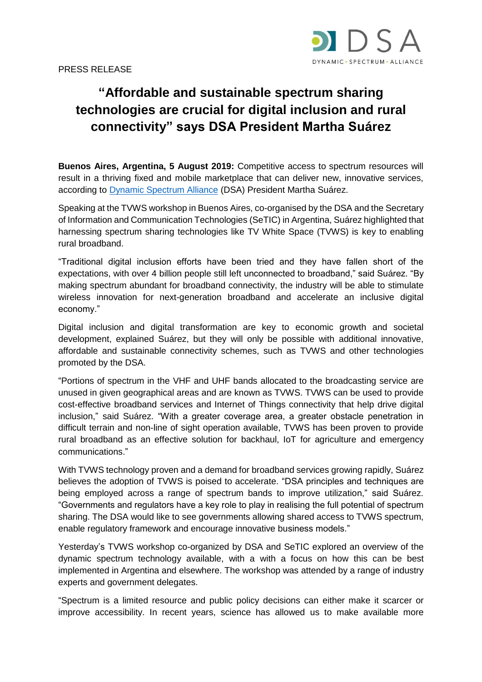

## **"Affordable and sustainable spectrum sharing technologies are crucial for digital inclusion and rural connectivity" says DSA President Martha Suárez**

**Buenos Aires, Argentina, 5 August 2019:** Competitive access to spectrum resources will result in a thriving fixed and mobile marketplace that can deliver new, innovative services, according to [Dynamic Spectrum Alliance](http://dynamicspectrumalliance.org/) (DSA) President Martha Suárez.

Speaking at the TVWS workshop in Buenos Aires, co-organised by the DSA and the Secretary of Information and Communication Technologies (SeTIC) in Argentina, Suárez highlighted that harnessing spectrum sharing technologies like TV White Space (TVWS) is key to enabling rural broadband.

"Traditional digital inclusion efforts have been tried and they have fallen short of the expectations, with over 4 billion people still left unconnected to broadband," said Suárez. "By making spectrum abundant for broadband connectivity, the industry will be able to stimulate wireless innovation for next-generation broadband and accelerate an inclusive digital economy."

Digital inclusion and digital transformation are key to economic growth and societal development, explained Suárez, but they will only be possible with additional innovative, affordable and sustainable connectivity schemes, such as TVWS and other technologies promoted by the DSA.

"Portions of spectrum in the VHF and UHF bands allocated to the broadcasting service are unused in given geographical areas and are known as TVWS. TVWS can be used to provide cost-effective broadband services and Internet of Things connectivity that help drive digital inclusion," said Suárez. "With a greater coverage area, a greater obstacle penetration in difficult terrain and non-line of sight operation available, TVWS has been proven to provide rural broadband as an effective solution for backhaul, IoT for agriculture and emergency communications."

With TVWS technology proven and a demand for broadband services growing rapidly, Suárez believes the adoption of TVWS is poised to accelerate. "DSA principles and techniques are being employed across a range of spectrum bands to improve utilization," said Suárez. "Governments and regulators have a key role to play in realising the full potential of spectrum sharing. The DSA would like to see governments allowing shared access to TVWS spectrum, enable regulatory framework and encourage innovative business models."

Yesterday's TVWS workshop co-organized by DSA and SeTIC explored an overview of the dynamic spectrum technology available, with a with a focus on how this can be best implemented in Argentina and elsewhere. The workshop was attended by a range of industry experts and government delegates.

"Spectrum is a limited resource and public policy decisions can either make it scarcer or improve accessibility. In recent years, science has allowed us to make available more